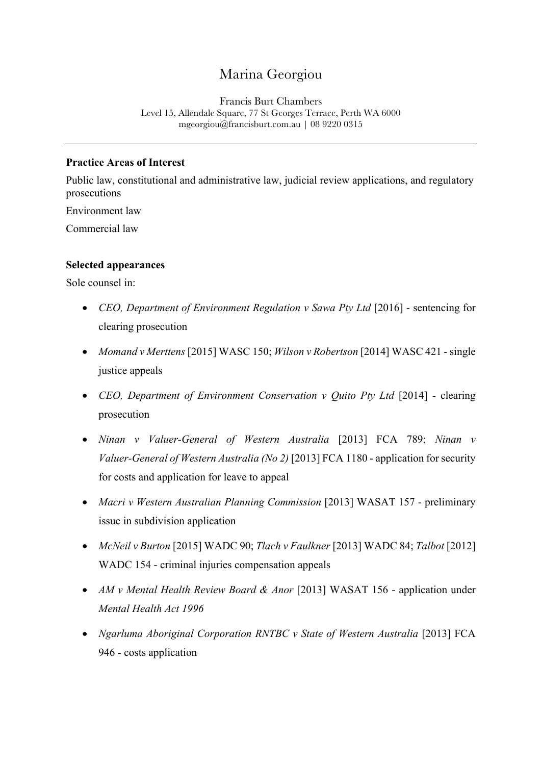# Marina Georgiou

Francis Burt Chambers Level 15, Allendale Square, 77 St Georges Terrace, Perth WA 6000 mgeorgiou@francisburt.com.au | 08 9220 0315

### **Practice Areas of Interest**

Public law, constitutional and administrative law, judicial review applications, and regulatory prosecutions

Environment law

Commercial law

#### **Selected appearances**

Sole counsel in:

- *CEO, Department of Environment Regulation v Sawa Pty Ltd* [2016] sentencing for clearing prosecution
- *Momand v Merttens* [2015] WASC 150; *Wilson v Robertson* [2014] WASC 421 single justice appeals
- *CEO, Department of Environment Conservation v Quito Pty Ltd* [2014] clearing prosecution
- *Ninan v Valuer-General of Western Australia* [2013] FCA 789; *Ninan v Valuer-General of Western Australia (No 2)* [2013] FCA 1180 - application for security for costs and application for leave to appeal
- *Macri v Western Australian Planning Commission* [2013] WASAT 157 preliminary issue in subdivision application
- *McNeil v Burton* [2015] WADC 90; *Tlach v Faulkner* [2013] WADC 84; *Talbot* [2012] WADC 154 - criminal injuries compensation appeals
- *AM v Mental Health Review Board & Anor* [2013] WASAT 156 application under *Mental Health Act 1996*
- *Ngarluma Aboriginal Corporation RNTBC v State of Western Australia* [2013] FCA 946 - costs application